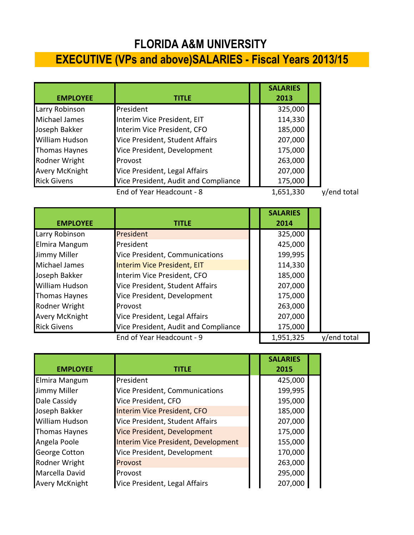## **FLORIDA A&M UNIVERSITY**

## **EXECUTIVE (VPs and above)SALARIES - Fiscal Years 2013/15**

|                       |                                      | <b>SALARIES</b> |             |
|-----------------------|--------------------------------------|-----------------|-------------|
| <b>EMPLOYEE</b>       | <b>TITLE</b>                         | 2013            |             |
| Larry Robinson        | President                            | 325,000         |             |
| Michael James         | Interim Vice President, EIT          | 114,330         |             |
| Joseph Bakker         | Interim Vice President, CFO          | 185,000         |             |
| <b>William Hudson</b> | Vice President, Student Affairs      | 207,000         |             |
| Thomas Haynes         | Vice President, Development          | 175,000         |             |
| Rodner Wright         | Provost                              | 263,000         |             |
| <b>Avery McKnight</b> | Vice President, Legal Affairs        | 207,000         |             |
| <b>Rick Givens</b>    | Vice President, Audit and Compliance | 175,000         |             |
|                       | End of Year Headcount - 8            | 1,651,330       | y/end total |

|                       |                                      | <b>SALARIES</b> |             |
|-----------------------|--------------------------------------|-----------------|-------------|
| <b>EMPLOYEE</b>       | <b>TITLE</b>                         | 2014            |             |
| Larry Robinson        | President                            | 325,000         |             |
| Elmira Mangum         | President                            | 425,000         |             |
| Jimmy Miller          | Vice President, Communications       | 199,995         |             |
| Michael James         | Interim Vice President, EIT          | 114,330         |             |
| Joseph Bakker         | Interim Vice President, CFO          | 185,000         |             |
| <b>William Hudson</b> | Vice President, Student Affairs      | 207,000         |             |
| <b>Thomas Haynes</b>  | Vice President, Development          | 175,000         |             |
| Rodner Wright         | Provost                              | 263,000         |             |
| <b>Avery McKnight</b> | Vice President, Legal Affairs        | 207,000         |             |
| <b>Rick Givens</b>    | Vice President, Audit and Compliance | 175,000         |             |
|                       | End of Year Headcount - 9            | 1,951,325       | v/end total |

|                       |                                     | <b>SALARIES</b> |  |
|-----------------------|-------------------------------------|-----------------|--|
| <b>EMPLOYEE</b>       | title                               | 2015            |  |
| Elmira Mangum         | President                           | 425,000         |  |
| Jimmy Miller          | Vice President, Communications      | 199,995         |  |
| Dale Cassidy          | Vice President, CFO                 | 195,000         |  |
| Joseph Bakker         | Interim Vice President, CFO         | 185,000         |  |
| <b>William Hudson</b> | Vice President, Student Affairs     | 207,000         |  |
| <b>Thomas Haynes</b>  | Vice President, Development         | 175,000         |  |
| Angela Poole          | Interim Vice President, Development | 155,000         |  |
| <b>George Cotton</b>  | Vice President, Development         | 170,000         |  |
| Rodner Wright         | Provost                             | 263,000         |  |
| Marcella David        | Provost                             | 295,000         |  |
| <b>Avery McKnight</b> | Vice President, Legal Affairs       | 207,000         |  |